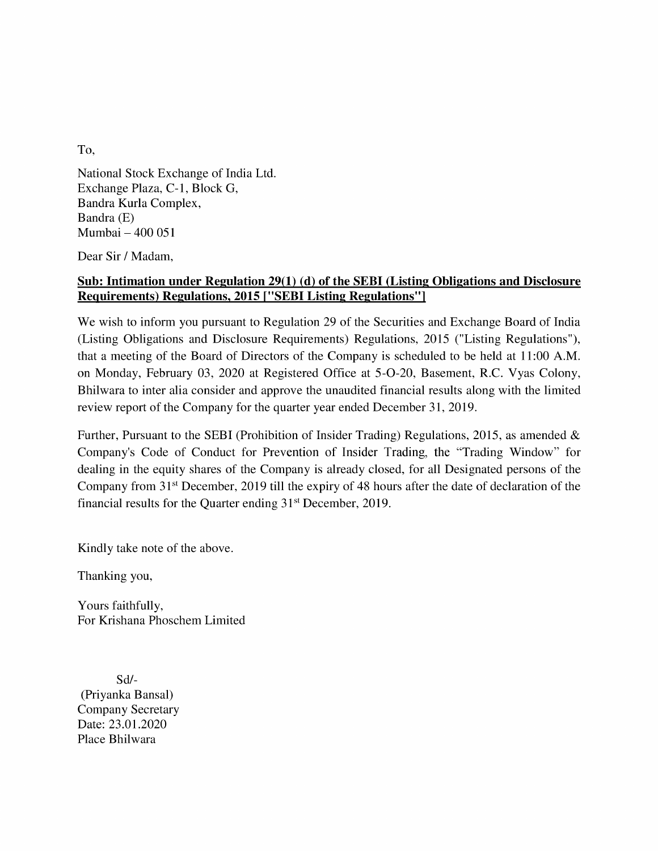To,

National Stock Exchange of India Ltd. Exchange Plaza, C-1, Block G, Bandra Kurla Complex, Bandra (E) Mumbai — 400 051

Dear Sir / Madam,

## Sub: Intimation under Regulation 29(1) (d) of the SEBI (Listing Obligations and Disclosure Requirements) Regulations, 2015 [""SEBI Listing Regulations'']

We wish to inform you pursuant to Regulation 29 of the Securities and Exchange Board of India (Listing Obligations and Disclosure Requirements) Regulations, 2015 ("Listing Regulations"), that a meeting of the Board of Directors of the Company is scheduled to be held at 11:00 A.M. on Monday, February 03, 2020 at Registered Office at 5-O-20, Basement, R.C. Vyas Colony, Bhilwara to inter alia consider and approve the unaudited financial results along with the limited review report of the Company for the quarter year ended December 31, 2019.

Further, Pursuant to the SEBI (Prohibition of Insider Trading) Regulations, 2015, as amended & Company's Code of Conduct for Prevention of Insider Trading, the "Trading Window" for dealing in the equity shares of the Company is already closed, for all Designated persons of the Company from 31\*t December, 2019 till the expiry of 48 hours after the date of declaration of the financial results for the Quarter ending 31<sup>st</sup> December, 2019.

Kindly take note of the above.

Thanking you,

Yours faithfully, For Krishana Phoschem Limited

Sd/- (Priyanka Bansal) Company Secretary Date: 23.01.2020 Place Bhilwara